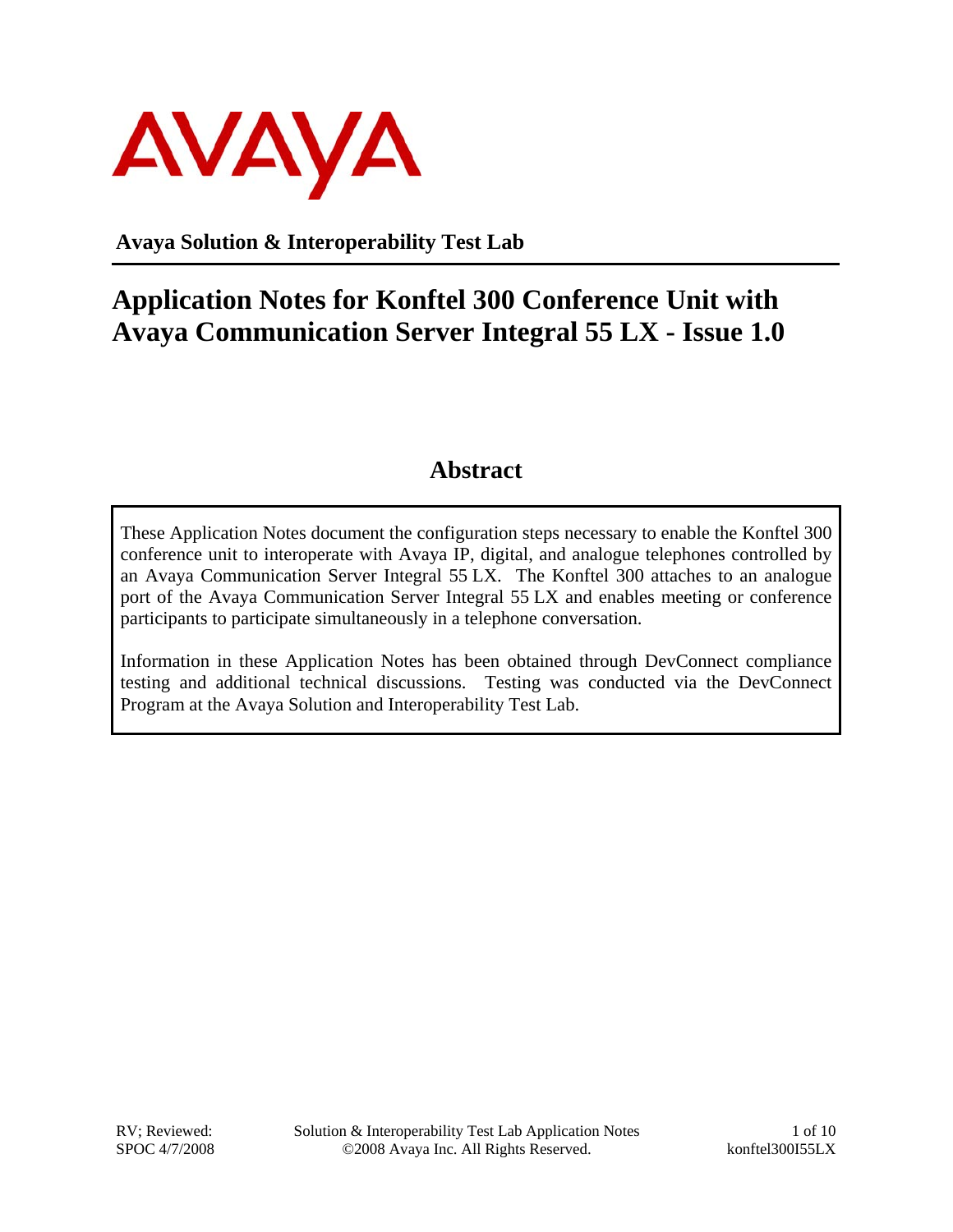

**Avaya Solution & Interoperability Test Lab** 

# **Application Notes for Konftel 300 Conference Unit with Avaya Communication Server Integral 55 LX - Issue 1.0**

### **Abstract**

These Application Notes document the configuration steps necessary to enable the Konftel 300 conference unit to interoperate with Avaya IP, digital, and analogue telephones controlled by an Avaya Communication Server Integral 55 LX. The Konftel 300 attaches to an analogue port of the Avaya Communication Server Integral 55 LX and enables meeting or conference participants to participate simultaneously in a telephone conversation.

Information in these Application Notes has been obtained through DevConnect compliance testing and additional technical discussions. Testing was conducted via the DevConnect Program at the Avaya Solution and Interoperability Test Lab.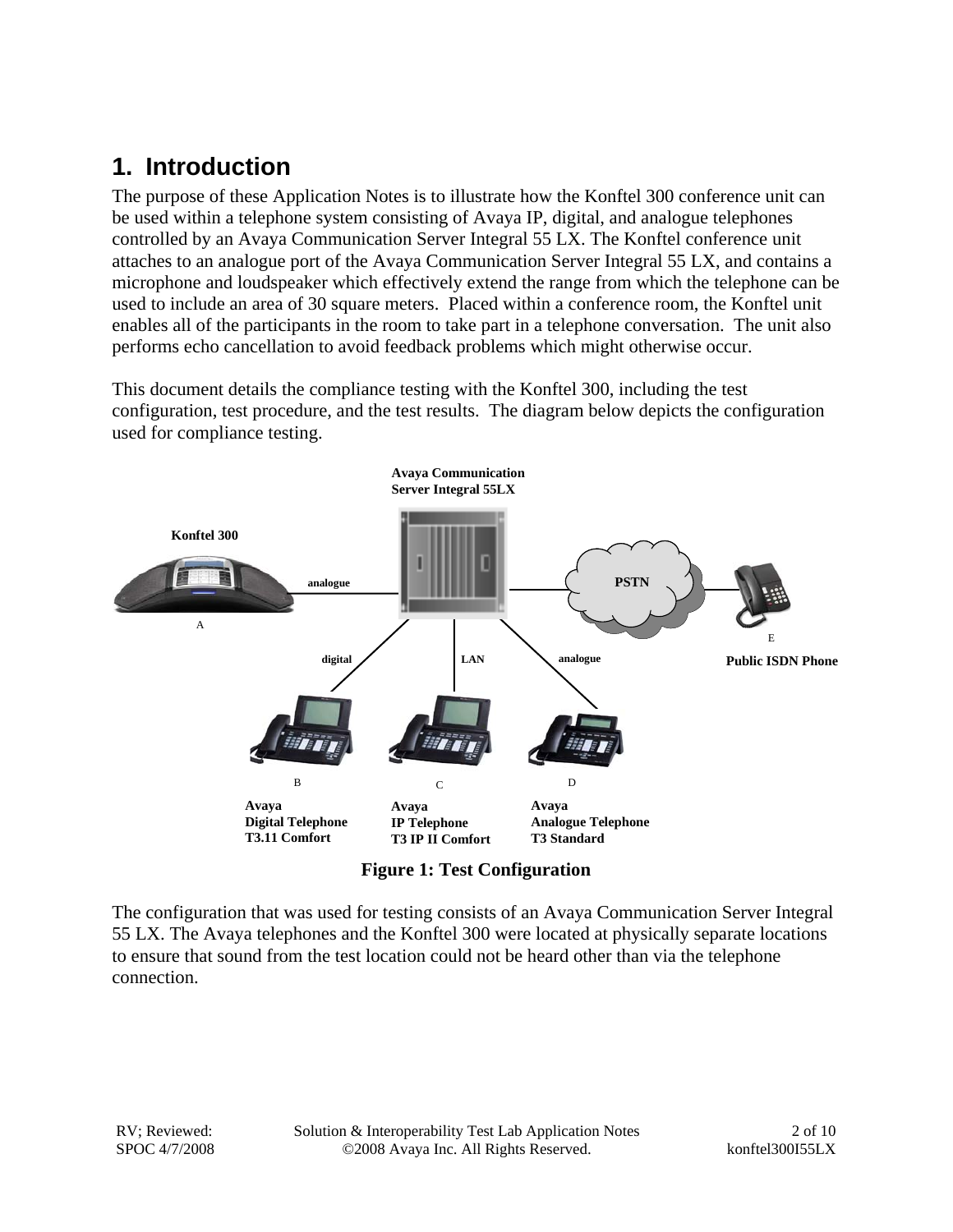## **1. Introduction**

The purpose of these Application Notes is to illustrate how the Konftel 300 conference unit can be used within a telephone system consisting of Avaya IP, digital, and analogue telephones controlled by an Avaya Communication Server Integral 55 LX. The Konftel conference unit attaches to an analogue port of the Avaya Communication Server Integral 55 LX, and contains a microphone and loudspeaker which effectively extend the range from which the telephone can be used to include an area of 30 square meters. Placed within a conference room, the Konftel unit enables all of the participants in the room to take part in a telephone conversation. The unit also performs echo cancellation to avoid feedback problems which might otherwise occur.

This document details the compliance testing with the Konftel 300, including the test configuration, test procedure, and the test results. The diagram below depicts the configuration used for compliance testing.



**Figure 1: Test Configuration** 

The configuration that was used for testing consists of an Avaya Communication Server Integral 55 LX. The Avaya telephones and the Konftel 300 were located at physically separate locations to ensure that sound from the test location could not be heard other than via the telephone connection.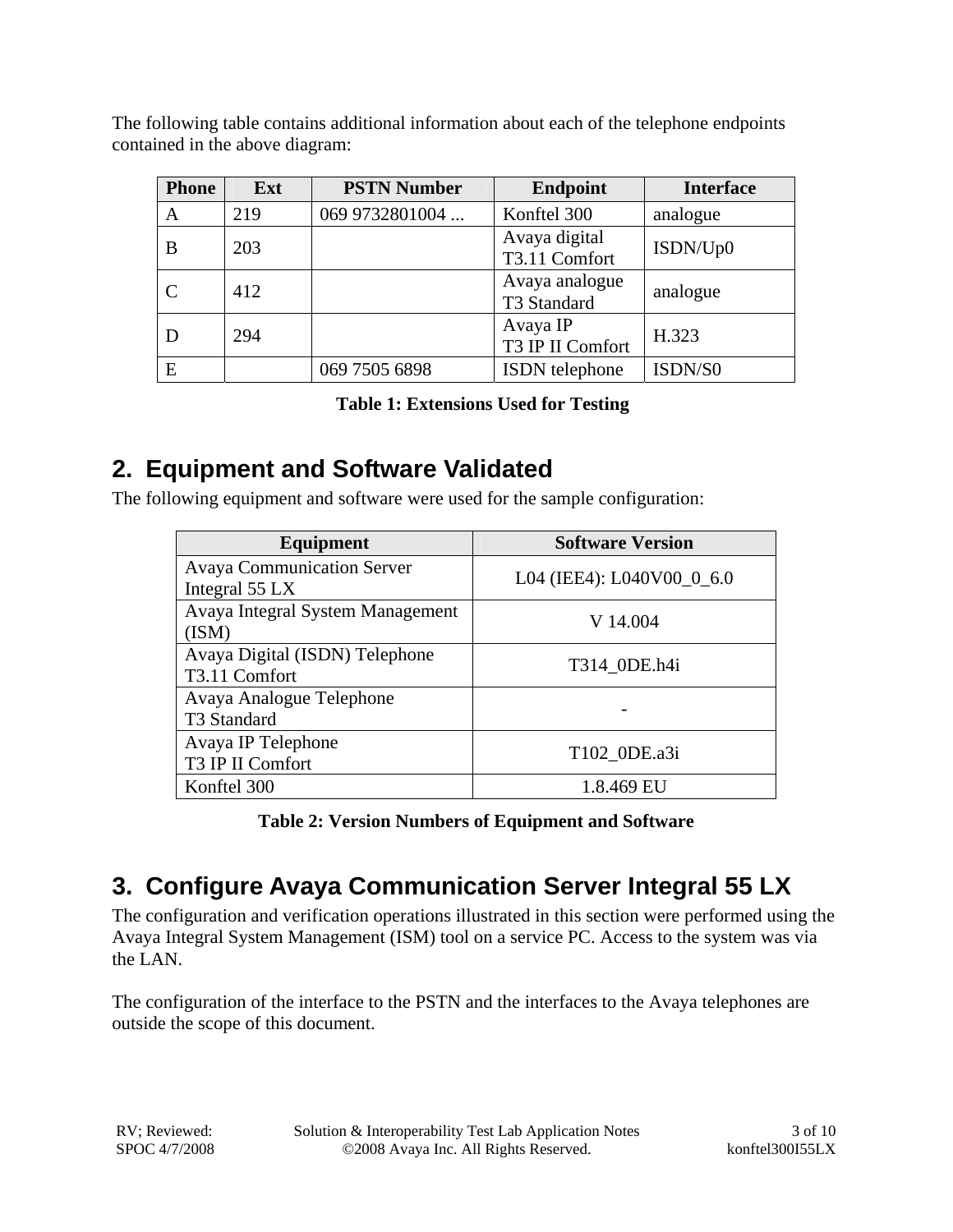The following table contains additional information about each of the telephone endpoints contained in the above diagram:

| <b>Phone</b> | Ext | <b>PSTN Number</b> | <b>Endpoint</b>                | <b>Interface</b> |
|--------------|-----|--------------------|--------------------------------|------------------|
| A            | 219 | 069 9732801004     | Konftel 300                    | analogue         |
| B            | 203 |                    | Avaya digital<br>T3.11 Comfort | ISDN/Up0         |
| C            | 412 |                    | Avaya analogue<br>T3 Standard  | analogue         |
| D            | 294 |                    | Avaya IP<br>T3 IP II Comfort   | H.323            |
| E            |     | 069 7505 6898      | ISDN telephone                 | ISDN/S0          |

|  | <b>Table 1: Extensions Used for Testing</b> |  |  |
|--|---------------------------------------------|--|--|
|--|---------------------------------------------|--|--|

# **2. Equipment and Software Validated**

The following equipment and software were used for the sample configuration:

| <b>Equipment</b>                                    | <b>Software Version</b>   |
|-----------------------------------------------------|---------------------------|
| <b>Avaya Communication Server</b><br>Integral 55 LX | L04 (IEE4): L040V00_0_6.0 |
| Avaya Integral System Management<br>(ISM)           | V 14.004                  |
| Avaya Digital (ISDN) Telephone<br>T3.11 Comfort     | T314_0DE.h4i              |
| Avaya Analogue Telephone<br>T3 Standard             |                           |
| Avaya IP Telephone<br>T3 IP II Comfort              | T102 0DE.a3i              |
| Konftel 300                                         | 1.8.469 EU                |

**Table 2: Version Numbers of Equipment and Software** 

# **3. Configure Avaya Communication Server Integral 55 LX**

The configuration and verification operations illustrated in this section were performed using the Avaya Integral System Management (ISM) tool on a service PC. Access to the system was via the LAN.

The configuration of the interface to the PSTN and the interfaces to the Avaya telephones are outside the scope of this document.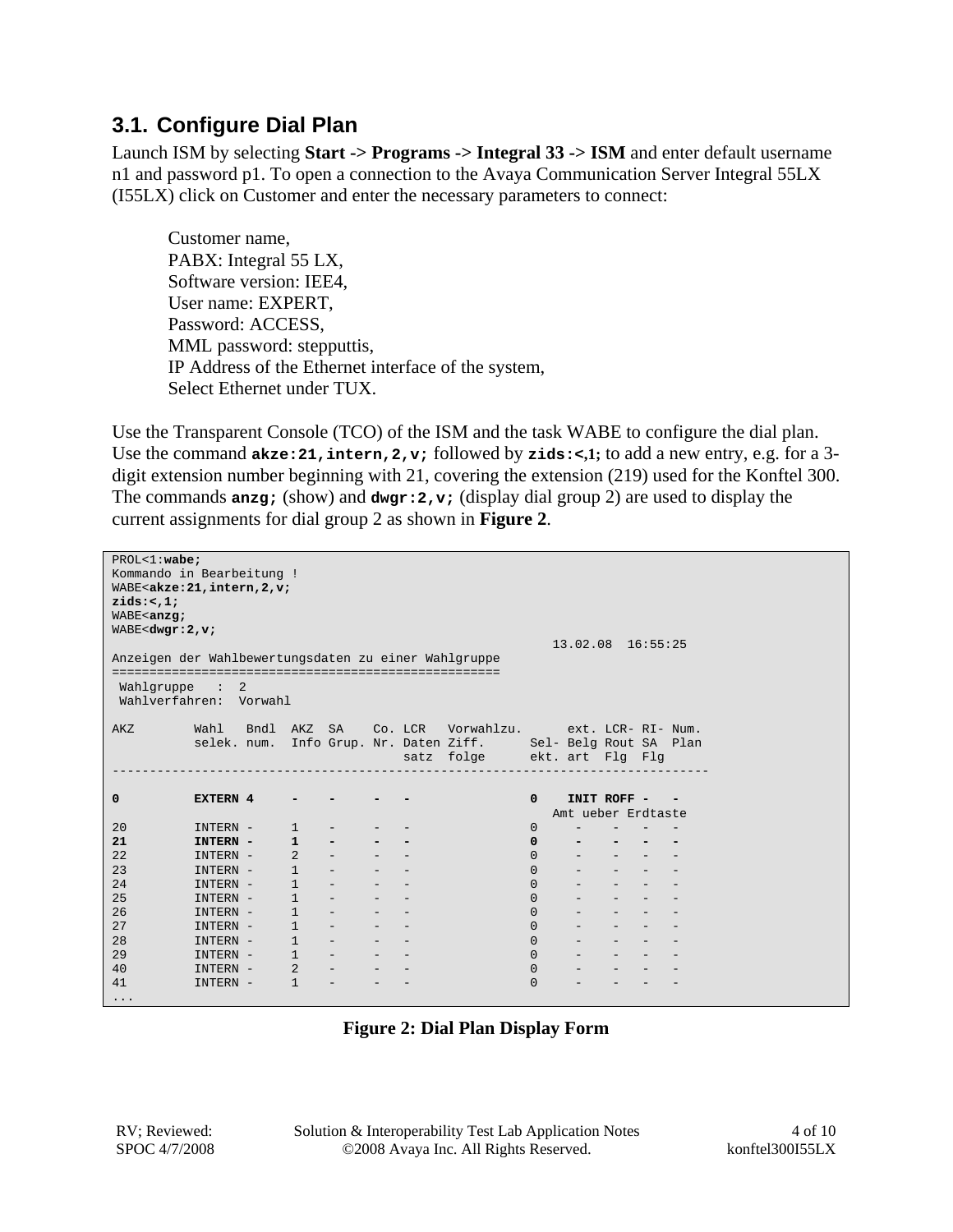### **3.1. Configure Dial Plan**

Launch ISM by selecting **Start -> Programs -> Integral 33 -> ISM** and enter default username n1 and password p1. To open a connection to the Avaya Communication Server Integral 55LX (I55LX) click on Customer and enter the necessary parameters to connect:

Customer name, PABX: Integral 55 LX, Software version: IEE4, User name: EXPERT, Password: ACCESS, MML password: stepputtis, IP Address of the Ethernet interface of the system, Select Ethernet under TUX.

Use the Transparent Console (TCO) of the ISM and the task WABE to configure the dial plan. Use the command **akze:21,intern,2,v;** followed by **zids:<,1;** to add a new entry, e.g. for a 3 digit extension number beginning with 21, covering the extension (219) used for the Konftel 300. The commands **anzg;** (show) and **dwgr:2,v;** (display dial group 2) are used to display the current assignments for dial group 2 as shown in **Figure 2**.

| $PROL < 1 : \textbf{wabe}$<br>Kommando in Bearbeitung !                                                                                                      |                   |   |                |                                             |                                                                                                |  |                                                               |              |                    |                                                  |  |
|--------------------------------------------------------------------------------------------------------------------------------------------------------------|-------------------|---|----------------|---------------------------------------------|------------------------------------------------------------------------------------------------|--|---------------------------------------------------------------|--------------|--------------------|--------------------------------------------------|--|
| WABE <akze: 2,="" 21,="" intern,="" td="" v;<=""><td></td><td></td><td></td><td></td><td></td><td></td><td></td><td></td><td></td><td></td><td></td></akze:> |                   |   |                |                                             |                                                                                                |  |                                                               |              |                    |                                                  |  |
| zids:<,1;                                                                                                                                                    |                   |   |                |                                             |                                                                                                |  |                                                               |              |                    |                                                  |  |
| WABE <anzg;< td=""><td></td><td></td><td></td><td></td><td></td><td></td><td></td><td></td><td></td><td></td><td></td></anzg;<>                              |                   |   |                |                                             |                                                                                                |  |                                                               |              |                    |                                                  |  |
| WABE <dwgr:2,<math>v;</dwgr:2,<math>                                                                                                                         |                   |   |                |                                             |                                                                                                |  |                                                               |              |                    |                                                  |  |
|                                                                                                                                                              |                   |   |                |                                             |                                                                                                |  |                                                               |              | 13.02.08 16:55:25  |                                                  |  |
| Anzeigen der Wahlbewertungsdaten zu einer Wahlgruppe                                                                                                         |                   |   |                |                                             |                                                                                                |  |                                                               |              |                    |                                                  |  |
|                                                                                                                                                              |                   |   |                |                                             |                                                                                                |  |                                                               |              |                    |                                                  |  |
| Wahlgruppe                                                                                                                                                   | $\sim$ 100 $\sim$ | 2 |                |                                             |                                                                                                |  |                                                               |              |                    |                                                  |  |
| Wahlverfahren: Vorwahl                                                                                                                                       |                   |   |                |                                             |                                                                                                |  |                                                               |              |                    |                                                  |  |
|                                                                                                                                                              |                   |   |                |                                             |                                                                                                |  |                                                               |              |                    |                                                  |  |
| AKZ                                                                                                                                                          |                   |   |                |                                             |                                                                                                |  | Wahl Bndl AKZ SA Co. LCR Vorwahlzu. ext. LCR-RI-Num.          |              |                    |                                                  |  |
|                                                                                                                                                              |                   |   |                |                                             |                                                                                                |  | selek. num. Info Grup. Nr. Daten Ziff. Sel- Belg Rout SA Plan |              |                    |                                                  |  |
|                                                                                                                                                              |                   |   |                |                                             |                                                                                                |  | satz folge ekt. art Flg Flg                                   |              |                    |                                                  |  |
|                                                                                                                                                              |                   |   |                |                                             |                                                                                                |  |                                                               |              |                    |                                                  |  |
|                                                                                                                                                              |                   |   |                |                                             |                                                                                                |  |                                                               |              |                    |                                                  |  |
| 0                                                                                                                                                            | EXTERN 4          |   |                |                                             |                                                                                                |  |                                                               | $\mathbf 0$  | INIT ROFF - -      |                                                  |  |
|                                                                                                                                                              |                   |   |                |                                             |                                                                                                |  |                                                               |              | Amt ueber Erdtaste |                                                  |  |
| 20                                                                                                                                                           | INTERN -          |   | $\mathbf{1}$   |                                             |                                                                                                |  |                                                               | $\mathbf 0$  |                    |                                                  |  |
| 21                                                                                                                                                           | INTERN -          |   | $\mathbf{1}$   | $\overline{\phantom{a}}$                    |                                                                                                |  |                                                               | $\mathbf 0$  |                    |                                                  |  |
| 22                                                                                                                                                           | INTERN -          |   | $\overline{2}$ | $\equiv$                                    |                                                                                                |  |                                                               | $\Omega$     |                    | $\Delta \phi = 0.0000$ and $\Delta \phi = 0.000$ |  |
| 23                                                                                                                                                           | INTERN -          |   | $\mathbf{1}$   |                                             |                                                                                                |  |                                                               | $\Omega$     |                    |                                                  |  |
| 24                                                                                                                                                           | INTERN -          |   | $\mathbf{1}$   |                                             |                                                                                                |  |                                                               | $\Omega$     |                    |                                                  |  |
| 25                                                                                                                                                           | INTERN -          |   | $\mathbf{1}$   | $ \,$                                       |                                                                                                |  |                                                               | $\Omega$     |                    |                                                  |  |
| 2.6                                                                                                                                                          | INTERN -          |   | $\mathbf{1}$   | $\equiv$                                    |                                                                                                |  |                                                               | $\Omega$     |                    | $\omega$ , and $\omega$ , and $\omega$           |  |
| 27                                                                                                                                                           | INTERN -          |   | $\mathbf{1}$   | $\equiv$                                    |                                                                                                |  |                                                               | $\Omega$     |                    |                                                  |  |
| 28                                                                                                                                                           | INTERN -          |   | $\mathbf{1}$   | $\equiv$                                    | $\sim$ 100 $\mu$                                                                               |  |                                                               | $\Omega$     |                    |                                                  |  |
| 29                                                                                                                                                           | INTERN -          |   | $\mathbf{1}$   | $\equiv$                                    | $\frac{1}{2} \left( \frac{1}{2} \right) \left( \frac{1}{2} \right) \left( \frac{1}{2} \right)$ |  |                                                               | $\Omega$     |                    | $\omega_{\rm{max}}$ and $\omega_{\rm{max}}$      |  |
| 40                                                                                                                                                           | INTERN -          |   | $2^{\circ}$    | $\omega_{\rm{max}}$ and $\omega_{\rm{max}}$ | $-$                                                                                            |  |                                                               | $\Omega$     |                    |                                                  |  |
| 41                                                                                                                                                           | INTERN -          |   | 1              | $-$                                         |                                                                                                |  |                                                               | $\mathbf{0}$ |                    |                                                  |  |
| $\cdots$                                                                                                                                                     |                   |   |                |                                             |                                                                                                |  |                                                               |              |                    |                                                  |  |

|  |  |  |  | <b>Figure 2: Dial Plan Display Form</b> |  |
|--|--|--|--|-----------------------------------------|--|
|--|--|--|--|-----------------------------------------|--|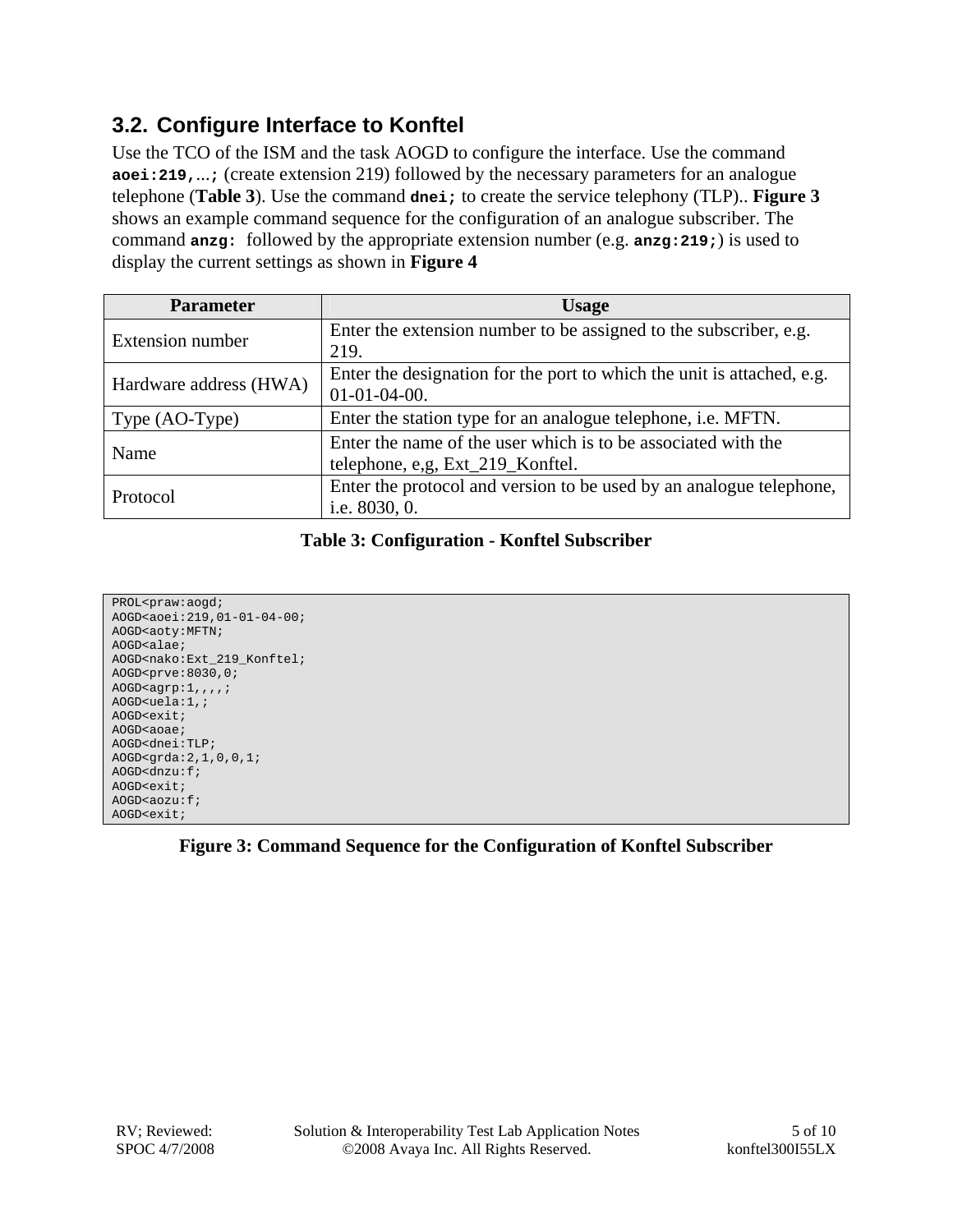### **3.2. Configure Interface to Konftel**

Use the TCO of the ISM and the task AOGD to configure the interface. Use the command **aoei:219,**...**;** (create extension 219) followed by the necessary parameters for an analogue telephone (**Table 3**). Use the command **dnei;** to create the service telephony (TLP).. **Figure 3** shows an example command sequence for the configuration of an analogue subscriber. The command **anzg:** followed by the appropriate extension number (e.g. **anzg:219;**) is used to display the current settings as shown in **Figure 4**

| <b>Parameter</b>        | <b>Usage</b>                                                                                      |  |  |  |
|-------------------------|---------------------------------------------------------------------------------------------------|--|--|--|
| <b>Extension number</b> | Enter the extension number to be assigned to the subscriber, e.g.<br>219.                         |  |  |  |
| Hardware address (HWA)  | Enter the designation for the port to which the unit is attached, e.g.<br>$01-01-04-00.$          |  |  |  |
| Type (AO-Type)          | Enter the station type for an analogue telephone, <i>i.e.</i> MFTN.                               |  |  |  |
| Name                    | Enter the name of the user which is to be associated with the<br>telephone, e,g, Ext_219_Konftel. |  |  |  |
| Protocol                | Enter the protocol and version to be used by an analogue telephone,<br>i.e. 8030, 0.              |  |  |  |

#### **Table 3: Configuration - Konftel Subscriber**

| PROL <praw:aogd;< th=""></praw:aogd;<>                       |
|--------------------------------------------------------------|
| AOGD <aoei:219,01-01-04-00;< td=""></aoei:219,01-01-04-00;<> |
| AOGD <aoty: mftn;<="" td=""></aoty:>                         |
| AOGD <alae;< td=""></alae;<>                                 |
| AOGD <nako: 219="" ext="" konftel;<="" td=""></nako:>        |
| AOGD <prve:8030,0;< td=""></prve:8030,0;<>                   |
| $AOGD$ <aqrp:1,,,,;< td=""></aqrp:1,,,,;<>                   |
| $AOGD \text{uela:1},$                                        |
| $AOGD$ $\leq$ $\leq$ $\leq$ $\leq$ $\leq$                    |
| AOGD <aoae;< td=""></aoae;<>                                 |
| AOGD <dnei:tlp;< td=""></dnei:tlp;<>                         |
| AOGD<br>qrda:2,1,0,0,1;                                      |
| $AOGD < dnzu$ : f;                                           |
| AOGD <exit;< td=""></exit;<>                                 |
| $AOGD < aOZu$ : f;                                           |
| $AOGD$ cexit;                                                |

#### **Figure 3: Command Sequence for the Configuration of Konftel Subscriber**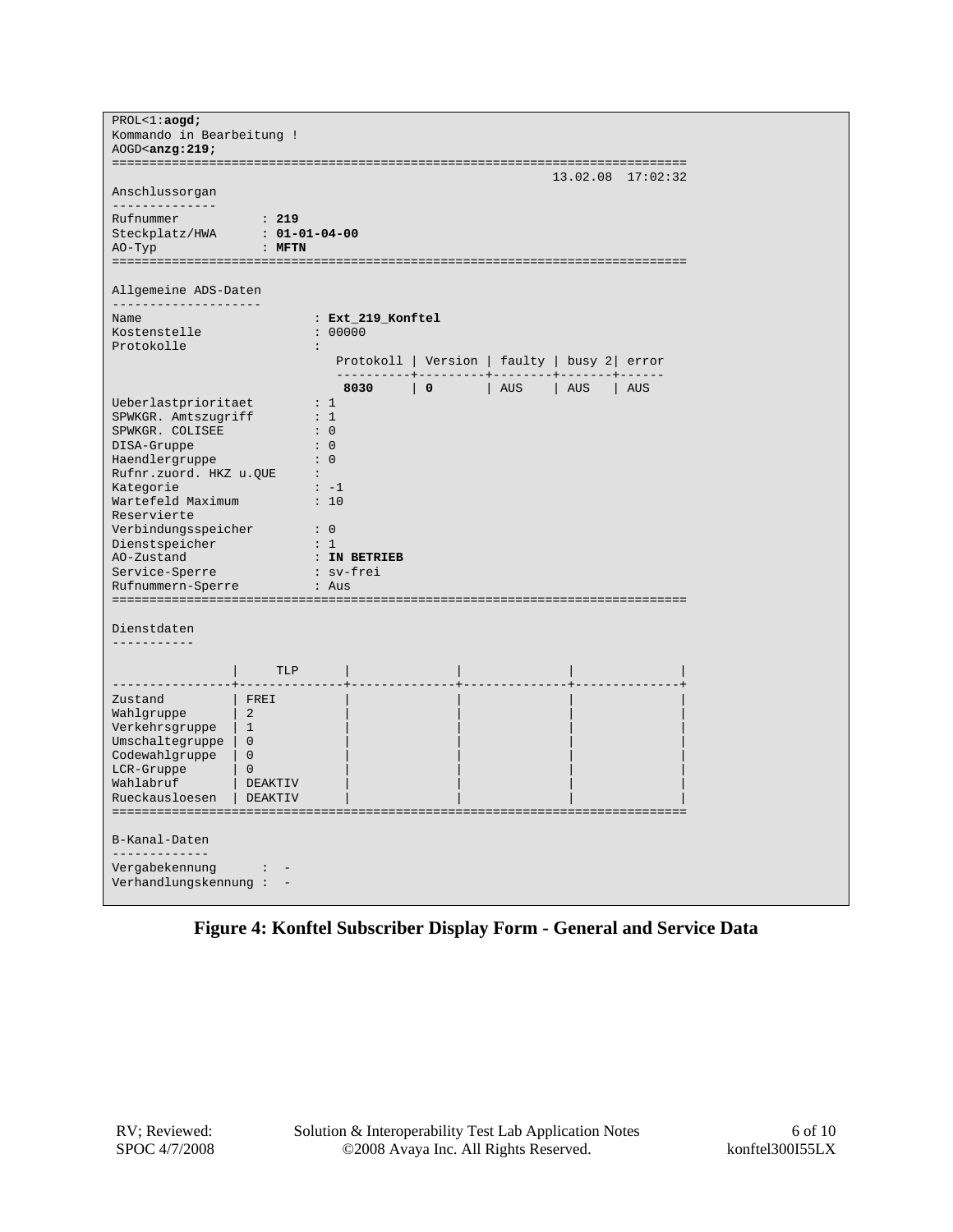| PROL < 1 : aogd;<br>Kommando in Bearbeitung !<br>$AOGD$ <anzg: 219;<="" td=""><td></td><td></td></anzg:>                                                                                                                                                                                              |                                                                                   |                                                                                                                                                                        |  |  |  |  |  |  |
|-------------------------------------------------------------------------------------------------------------------------------------------------------------------------------------------------------------------------------------------------------------------------------------------------------|-----------------------------------------------------------------------------------|------------------------------------------------------------------------------------------------------------------------------------------------------------------------|--|--|--|--|--|--|
|                                                                                                                                                                                                                                                                                                       |                                                                                   | $13.02.08$ $17:02:32$                                                                                                                                                  |  |  |  |  |  |  |
| Anschlussorgan                                                                                                                                                                                                                                                                                        |                                                                                   |                                                                                                                                                                        |  |  |  |  |  |  |
| ______________<br>Rufnummer<br>Steckplatz/HWA<br>АО-Тур                                                                                                                                                                                                                                               | : 219<br>$: 01 - 01 - 04 - 00$<br>$:$ MFTN                                        |                                                                                                                                                                        |  |  |  |  |  |  |
| Allgemeine ADS-Daten                                                                                                                                                                                                                                                                                  |                                                                                   |                                                                                                                                                                        |  |  |  |  |  |  |
| ---------------------<br>Name<br>Kostenstelle<br>Protokolle                                                                                                                                                                                                                                           |                                                                                   | : Ext_219_Konftel<br>: 00000<br>$\ddot{\phantom{a}}$                                                                                                                   |  |  |  |  |  |  |
|                                                                                                                                                                                                                                                                                                       |                                                                                   | Protokoll   Version   faulty   busy 2   error                                                                                                                          |  |  |  |  |  |  |
|                                                                                                                                                                                                                                                                                                       |                                                                                   | 8030<br>$\overline{\mathbf{0}}$<br>AUS<br>AUS<br>AUS                                                                                                                   |  |  |  |  |  |  |
| Ueberlastprioritaet<br>SPWKGR. Amtszugriff<br>SPWKGR. COLISEE<br>DISA-Gruppe<br>Haendlergruppe<br>Rufnr.zuord. HKZ u.QUE<br>Kategorie<br>Wartefeld Maximum<br>Reservierte<br>Verbindungsspeicher<br>Dienstspeicher<br>AO-Zustand<br>Service-Sperre<br>Rufnummern-Sperre<br>Dienstdaten<br>----------- |                                                                                   | : 1<br>: 1<br>$\colon 0$<br>$\colon 0$<br>$\colon 0$<br>$\sim$ 100 $\sim$<br>$\cdot$ $-1$<br>$\therefore$ 10<br>$\cdot$ 0<br>: 1<br>: IN BETRIEB<br>: sv-frei<br>: Aus |  |  |  |  |  |  |
|                                                                                                                                                                                                                                                                                                       | TLP                                                                               |                                                                                                                                                                        |  |  |  |  |  |  |
| Zustand<br>Wahlgruppe<br>Verkehrsgruppe<br>Umschaltegruppe   0<br>Codewahlgruppe   0<br>LCR-Gruppe<br>Wahlabruf<br>Rueckausloesen                                                                                                                                                                     | FREI<br>$\begin{array}{ c c }$ 2<br>$\vert 1$<br>$\bigcirc$<br>DEAKTIV<br>DEAKTIV |                                                                                                                                                                        |  |  |  |  |  |  |
| B-Kanal-Daten<br>-------------<br>Vergabekennung<br>Verhandlungskennung: -                                                                                                                                                                                                                            |                                                                                   |                                                                                                                                                                        |  |  |  |  |  |  |

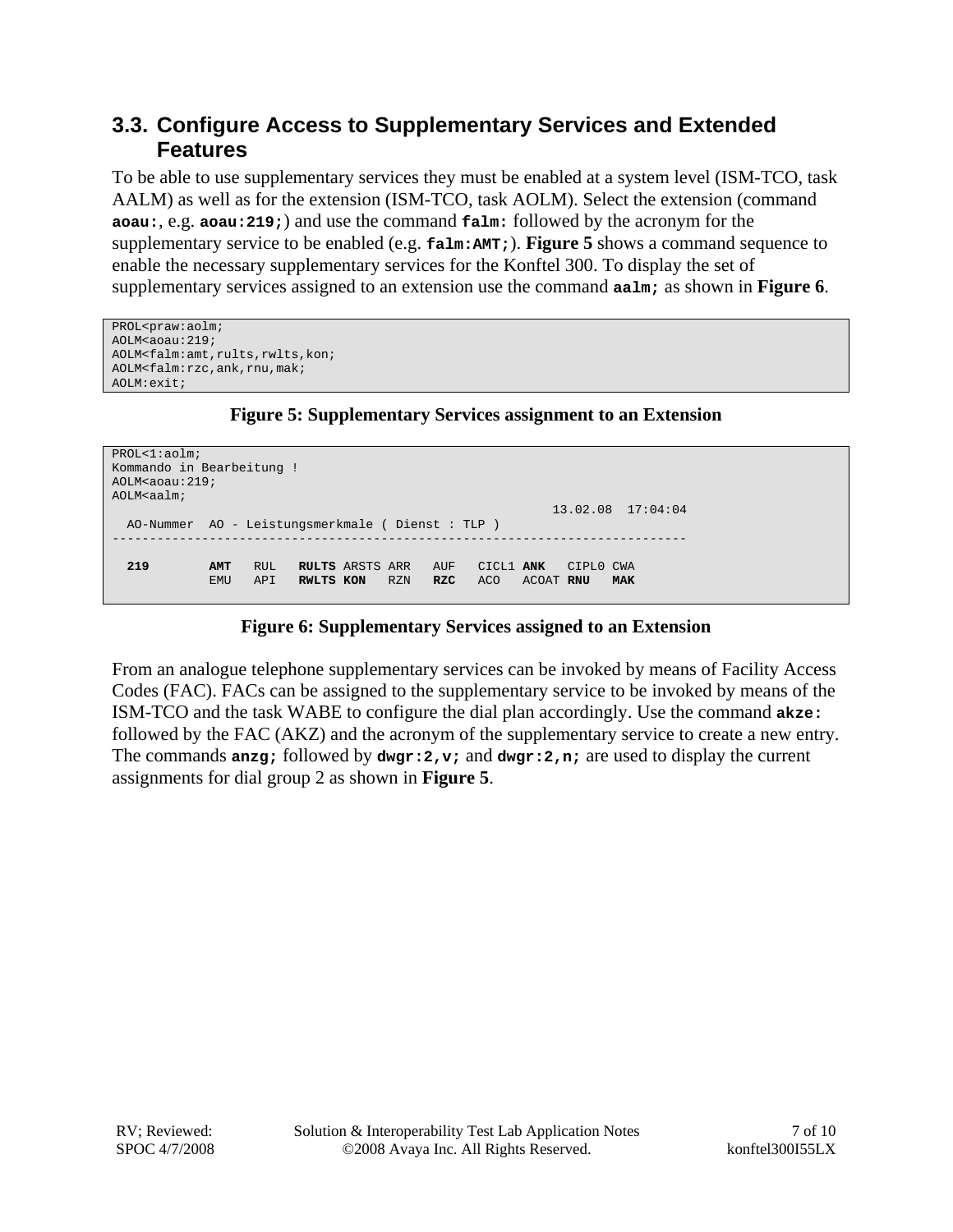### **3.3. Configure Access to Supplementary Services and Extended Features**

To be able to use supplementary services they must be enabled at a system level (ISM-TCO, task AALM) as well as for the extension (ISM-TCO, task AOLM). Select the extension (command **aoau:**, e.g. **aoau:219;**) and use the command **falm:** followed by the acronym for the supplementary service to be enabled (e.g. **falm:AMT;**). **Figure 5** shows a command sequence to enable the necessary supplementary services for the Konftel 300. To display the set of supplementary services assigned to an extension use the command **aalm;** as shown in **Figure 6**.

```
PROL<praw:aolm; 
AOLM<aoau:219; 
AOLM<falm:amt,rults,rwlts,kon; 
AOLM<falm:rzc,ank,rnu,mak; 
AOLM:exit;
```
#### **Figure 5: Supplementary Services assignment to an Extension**

```
PROL<1:aolm; 
Kommando in Bearbeitung ! 
AOLM<aoau:219;
AOLM<aalm;
                                                            13.02.08 17:04:04 
   AO-Nummer AO - Leistungsmerkmale ( Dienst : TLP ) 
            ----------------------------------------------------------------------------- 
 219 AMT RUL RULTS ARSTS ARR AUF CICL1 ANK CIPL0 CWA 
 EMU API RWLTS KON RZN RZC ACO ACOAT RNU MAK
```
#### **Figure 6: Supplementary Services assigned to an Extension**

From an analogue telephone supplementary services can be invoked by means of Facility Access Codes (FAC). FACs can be assigned to the supplementary service to be invoked by means of the ISM-TCO and the task WABE to configure the dial plan accordingly. Use the command **akze:** followed by the FAC (AKZ) and the acronym of the supplementary service to create a new entry. The commands **anzg;** followed by **dwgr:2,v;** and **dwgr:2,n;** are used to display the current assignments for dial group 2 as shown in **Figure 5**.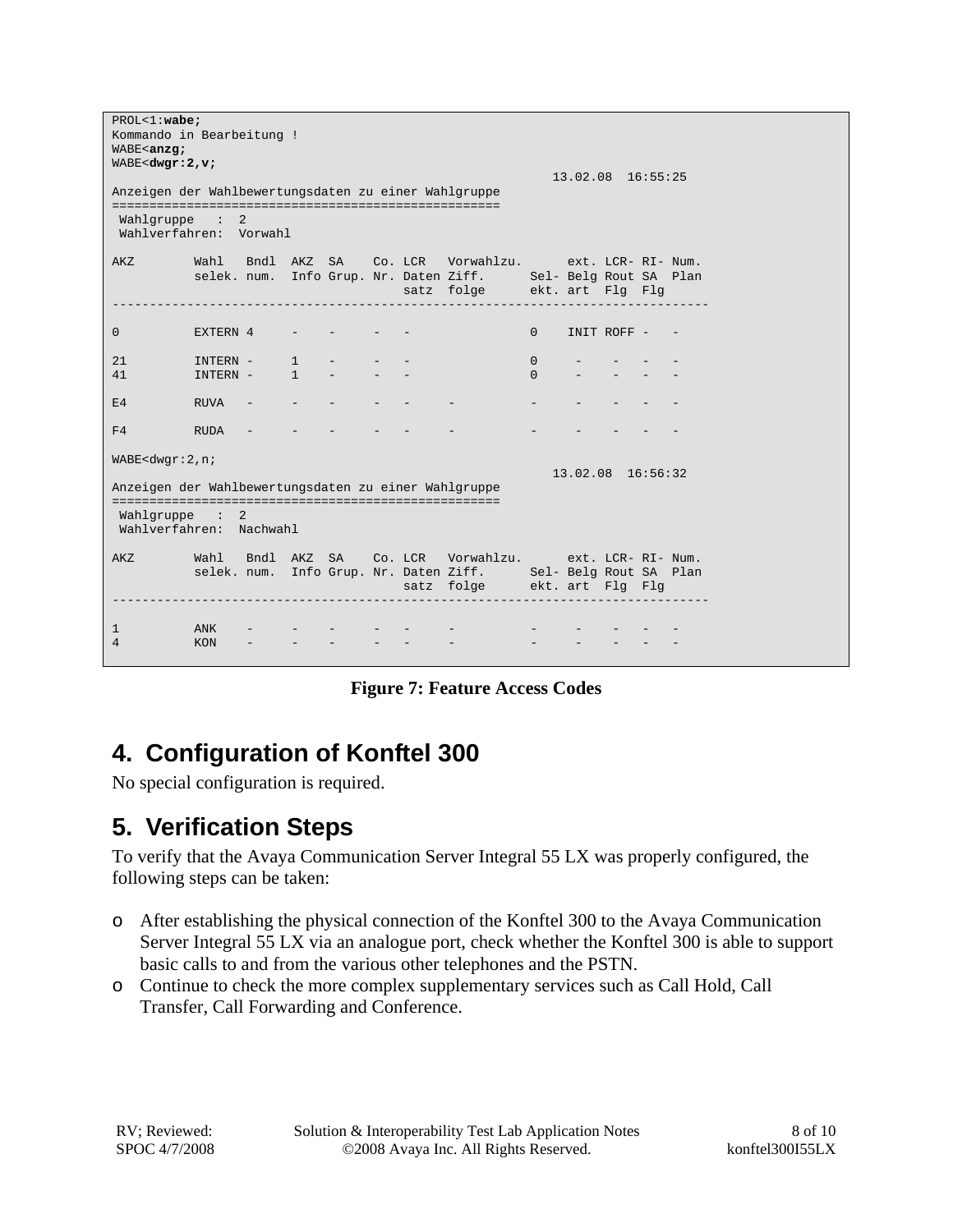```
PROL<1:wabe;
Kommando in Bearbeitung ! 
WABE<anzg;
WABE<dwgr:2,v;
                                            13.02.08 16:55:25 
Anzeigen der Wahlbewertungsdaten zu einer Wahlgruppe 
==================================================== 
 Wahlgruppe : 2 
 Wahlverfahren: Vorwahl 
AKZ Wahl Bndl AKZ SA Co. LCR Vorwahlzu. ext. LCR- RI- Num. 
 selek. num. Info Grup. Nr. Daten Ziff. Sel- Belg Rout SA Plan 
 satz folge ekt. art Flg Flg 
-------------------------------------------------------------------------------- 
0 EXTERN 4 - - - - - 0 INIT ROFF -
21 INTERN - 1 - - - 0 - - - -
41 INTERN - 1 - - - - 0 - - - -
E4 RUVA - - - - - - - - - -
F4 RUDA - -
WABE<dwgr:2,n; 
                                           13.02.08 16:56:32 
Anzeigen der Wahlbewertungsdaten zu einer Wahlgruppe 
==================================================== 
 Wahlgruppe : 2 
 Wahlverfahren: Nachwahl 
AKZ Wahl Bndl AKZ SA Co. LCR Vorwahlzu. ext. LCR- RI- Num. 
 selek. num. Info Grup. Nr. Daten Ziff. Sel- Belg Rout SA Plan 
 satz folge ekt. art Flg Flg 
                           -------------------------------------------------------------------------------- 
1 ANK - - - - - - - - - - - - - -
4 KON – – – – – – – – – – – – –
```
**Figure 7: Feature Access Codes** 

# **4. Configuration of Konftel 300**

No special configuration is required.

# **5. Verification Steps**

To verify that the Avaya Communication Server Integral 55 LX was properly configured, the following steps can be taken:

- o After establishing the physical connection of the Konftel 300 to the Avaya Communication Server Integral 55 LX via an analogue port, check whether the Konftel 300 is able to support basic calls to and from the various other telephones and the PSTN.
- o Continue to check the more complex supplementary services such as Call Hold, Call Transfer, Call Forwarding and Conference.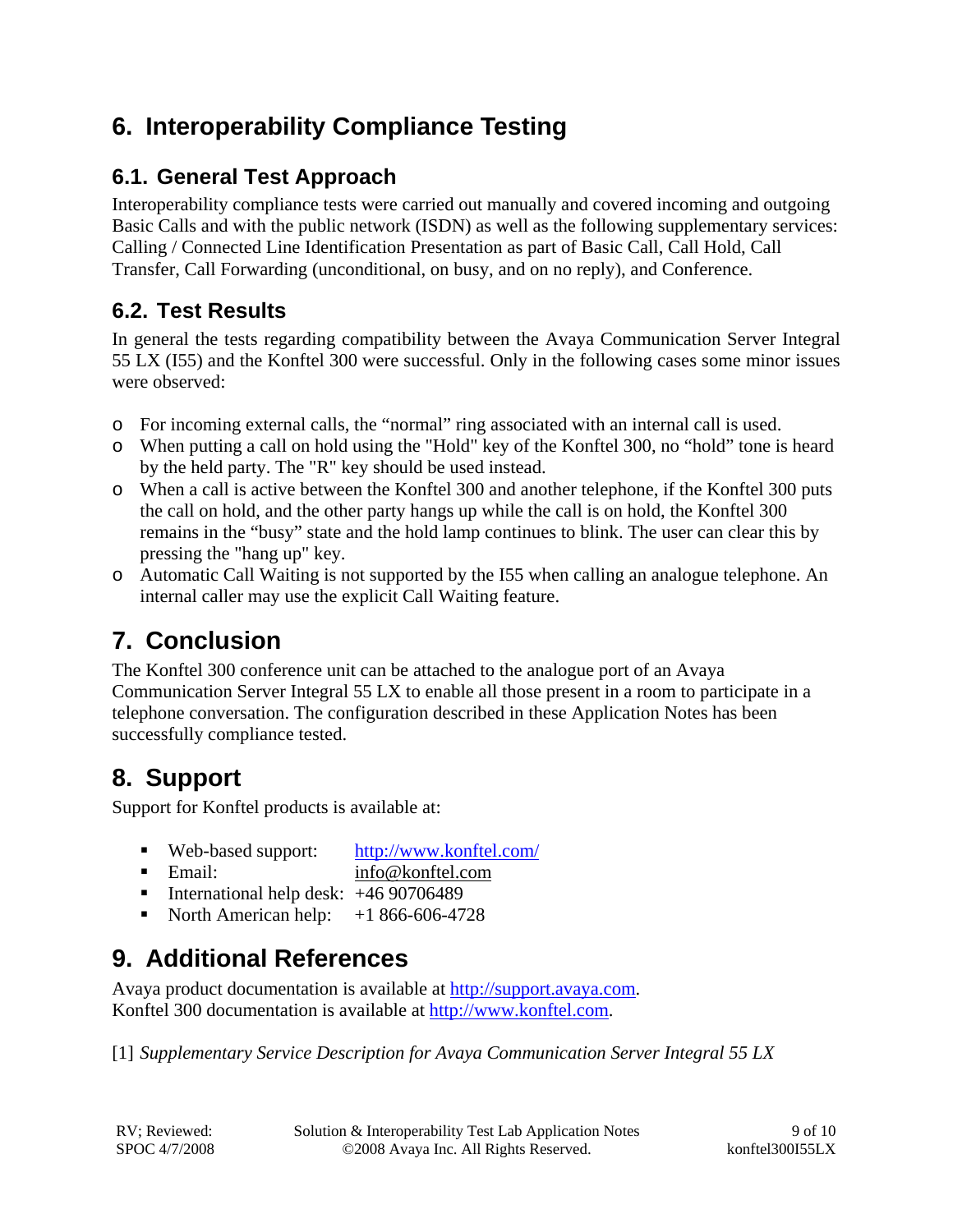## **6. Interoperability Compliance Testing**

## **6.1. General Test Approach**

Interoperability compliance tests were carried out manually and covered incoming and outgoing Basic Calls and with the public network (ISDN) as well as the following supplementary services: Calling / Connected Line Identification Presentation as part of Basic Call, Call Hold, Call Transfer, Call Forwarding (unconditional, on busy, and on no reply), and Conference.

## **6.2. Test Results**

In general the tests regarding compatibility between the Avaya Communication Server Integral 55 LX (I55) and the Konftel 300 were successful. Only in the following cases some minor issues were observed:

- o For incoming external calls, the "normal" ring associated with an internal call is used.
- o When putting a call on hold using the "Hold" key of the Konftel 300, no "hold" tone is heard by the held party. The "R" key should be used instead.
- o When a call is active between the Konftel 300 and another telephone, if the Konftel 300 puts the call on hold, and the other party hangs up while the call is on hold, the Konftel 300 remains in the "busy" state and the hold lamp continues to blink. The user can clear this by pressing the "hang up" key.
- o Automatic Call Waiting is not supported by the I55 when calling an analogue telephone. An internal caller may use the explicit Call Waiting feature.

# **7. Conclusion**

The Konftel 300 conference unit can be attached to the analogue port of an Avaya Communication Server Integral 55 LX to enable all those present in a room to participate in a telephone conversation. The configuration described in these Application Notes has been successfully compliance tested.

# **8. Support**

Support for Konftel products is available at:

- Web-based support: http://www.konftel.com/
- Email: info@konftel.com
- International help desk:  $+4690706489$
- North American help:  $+1866-606-4728$

# **9. Additional References**

Avaya product documentation is available at http://support.avaya.com. Konftel 300 documentation is available at http://www.konftel.com.

[1] *Supplementary Service Description for Avaya Communication Server Integral 55 LX*